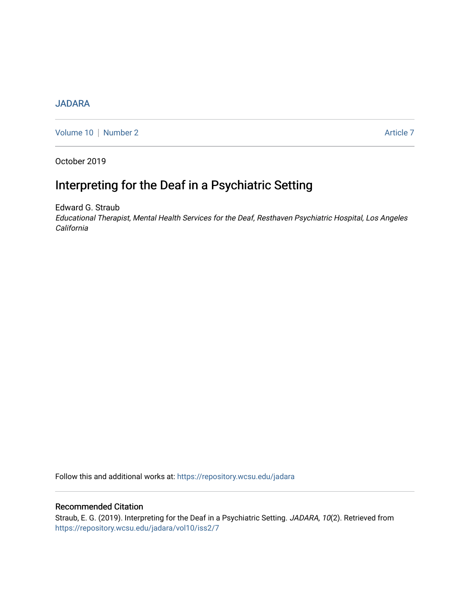## **[JADARA](https://repository.wcsu.edu/jadara)**

[Volume 10](https://repository.wcsu.edu/jadara/vol10) | [Number 2](https://repository.wcsu.edu/jadara/vol10/iss2) Article 7

October 2019

# Interpreting for the Deaf in a Psychiatric Setting

Edward G. Straub Educational Therapist, Mental Health Services for the Deaf, Resthaven Psychiatric Hospital, Los Angeles California

Follow this and additional works at: [https://repository.wcsu.edu/jadara](https://repository.wcsu.edu/jadara?utm_source=repository.wcsu.edu%2Fjadara%2Fvol10%2Fiss2%2F7&utm_medium=PDF&utm_campaign=PDFCoverPages)

## Recommended Citation

Straub, E. G. (2019). Interpreting for the Deaf in a Psychiatric Setting. JADARA, 10(2). Retrieved from [https://repository.wcsu.edu/jadara/vol10/iss2/7](https://repository.wcsu.edu/jadara/vol10/iss2/7?utm_source=repository.wcsu.edu%2Fjadara%2Fvol10%2Fiss2%2F7&utm_medium=PDF&utm_campaign=PDFCoverPages)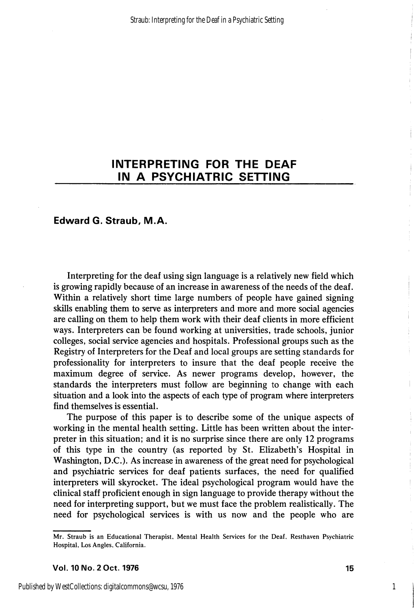## Edward G. Straub, M.A.

Interpreting for the deaf using sign language is a relatively new field which is growing rapidly because of an increase in awareness of the needs of the deaf. Within a relatively short time large numbers of people have gained signing skills enabling them to serve as interpreters and more and more social agencies are calling on them to help them work with their deaf clients in more efficient ways. Interpreters can be found working at universities, trade schools, junior colleges, social service agencies and hospitals. Professional groups such as the Registry of Interpreters for the Deaf and local groups are setting standards for professionality for interpreters to insure that the deaf people receive the maximum degree of service. As newer programs develop, however, the standards the interpreters must follow are beginning to change with each situation and a look into the aspects of each type of program where interpreters find themselves is essential.

The purpose of this paper is to describe some of the unique aspects of working in the mental health setting. Little has been written about the inter preter in this situation; and it is no surprise since there are only 12 programs of this type in the country (as reported by St. Elizabeth's Hospital in Washington, D.C.). As increase in awareness of the great need for psychological and psychiatric services for deaf patients surfaces, the need for qualified interpreters will skyrocket. The ideal psychological program would have the clinical staff proficient enough in sign language to provide therapy without the need for interpreting support, but we must face the problem realistically. The need for psychological services is with us now and the people who are

Vol. 10 No. 2 Oct. 1976 15

1

Mr. Straub is an Educational Therapist, Mental Health Services for the Deaf, Resthaven Psychiatric Hospital, Los Angles, California.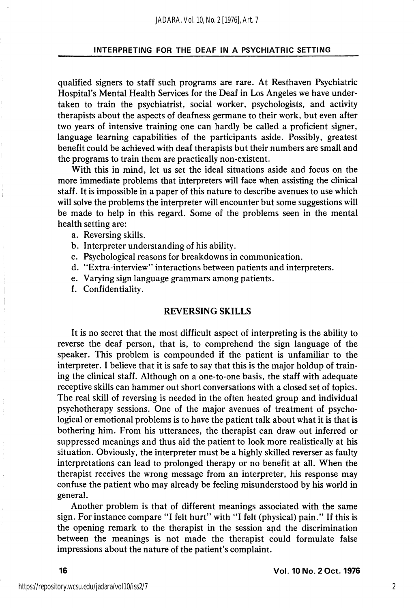qualified signers to staff such programs are rare. At Resthaven Psychiatric Hospital's Mental Health Services for the Deaf in Los Angeles we have under taken to train the psychiatrist, social worker, psychologists, and activity therapists about the aspects of deafness germane to their work, but even after two years of intensive training one can hardly be called a proficient signer, language learning capabilities of the participants aside. Possibly, greatest benefit could be achieved with deaf therapists but their numbers are small and the programs to train them are practically non-existent.

With this in mind, let us set the ideal situations aside and focus on the more immediate problems that interpreters will face when assisting the clinical staff. It is impossible in a paper of this nature to describe avenues to use which will solve the problems the interpreter will encounter but some suggestions will be made to help in this regard. Some of the problems seen in the mental health setting are:

- a. Reversing skills.
- b. Interpreter understanding of his ability.
- c. Psychological reasons for breakdowns in communication.
- d. "Extra-interview" interactions between patients and interpreters.
- e. Varying sign language grammars among patients.
- f. Confidentiality.

## REVERSING SKILLS

It is no secret that the most difficult aspect of interpreting is the ability to reverse the deaf person, that is, to comprehend the sign language of the speaker. This problem is compounded if the patient is unfamiliar to the interpreter. I believe that it is safe to say that this is the major holdup of train ing the clinical staff. Although on a one-to-one basis, the staff with adequate receptive skills can hammer out short conversations with a closed set of topics. The real skill of reversing is needed in the often heated group and individual psychotherapy sessions. One of the major avenues of treatment of psycho logical or emotional problems is to have the patient talk about what it is that is bothering him. From his utterances, the therapist can draw out inferred or suppressed meanings and thus aid the patient to look more realistically at his situation. Obviously, the interpreter must be a highly skilled reverser as faulty interpretations can lead to prolonged therapy or no benefit at all. When the therapist receives the wrong message from an interpreter, his response may confuse the patient who may already be feeling misunderstood by his world in general.

Another problem is that of different meanings associated with the same sign. For instance compare "I felt hurt" with "I felt (physical) pain." If this is the opening remark to the therapist in the session and the discrimination between the meanings is not made the therapist could formulate false impressions about the nature of the patient's complaint.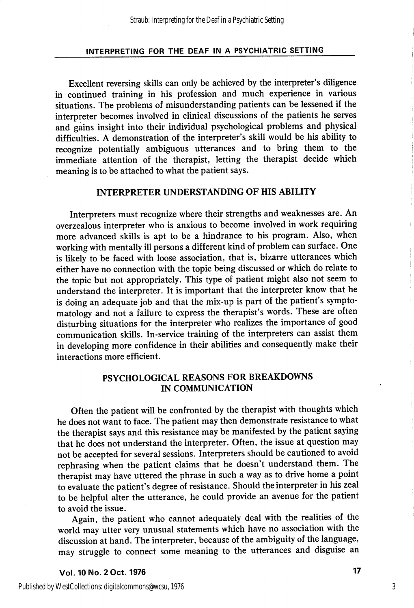Excellent reversing skills can only be achieved by the interpreter's diligence in continued training in his profession and much experience in various situations. The problems of misunderstanding patients can be lessened if the interpreter becomes involved in clinical discussions of the patients he serves and gains insight into their individual psychological problems and physical difficulties. A demonstration of the interpreter's skill would be his ability to recognize potentially ambiguous utterances and to bring them to the immediate attention of the therapist, letting the therapist decide which meaning is to be attached to what the patient says.

## INTERPRETER UNDERSTANDING OF HIS ABILITY

Interpreters must recognize where their strengths and weaknesses are. An overzealous interpreter who is anxious to become involved in work requiring more advanced skills is apt to be a hindrance to his program. Also, when working with mentally ill persons a different kind of problem can surface. One is likely to be faced with loose association, that is, bizarre utterances which either have no connection with the topic being discussed or which do relate to the topic but not appropriately. This type of patient might also not seem to understand the interpreter. It is important that the interpreter know that he is doing an adequate job and that the mix-up is part of the patient's sympto matology and not a failure to express the therapist's words. These are often disturbing situations for the interpreter who realizes the importance of good communication skills. In-service training of the interpreters can assist them in developing more confidence in their abilities and consequently make their interactions more efficient.

## PSYCHOLOGICAL REASONS FOR BREAKDOWNS IN COMMUNICATION

Often the patient will be confronted by the therapist with thoughts which he does not want to face. The patient may then demonstrate resistance to what the therapist says and this resistance may be manifested by the patient saying that he does not understand the interpreter. Often, the issue at question may not be accepted for several sessions. Interpreters should be cautioned to avoid rephrasing when the patient claims that he doesn't understand them. The therapist may have uttered the phrase in such a way as to drive home a point to evaluate the patient's degree of resistance. Should the interpreter in his zeal to be helpful alter the utterance, he could provide an avenue for the patient to avoid the issue.

Again, the patient who cannot adequately deal with the realities of the world may utter very unusual statements which have no association with the discussion at hand. The interpreter, because of the ambiguity of the language, may struggle to connect some meaning to the utterances and disguise an

Vol. 10 No. 2 Oct. 1976 17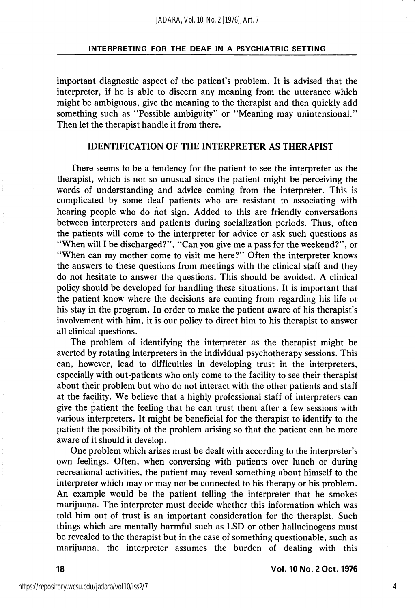important diagnostic aspect of the patient's problem. It is advised that the interpreter, if he is able to discern any meaning from the utterance which might be ambiguous, give the meaning to the therapist and then quickly add something such as "Possible ambiguity" or "Meaning may unintensional." Then let the therapist handle it from there.

#### IDENTIFICATION OF THE INTERPRETER AS THERAPIST

There seems to be a tendency for the patient to see the interpreter as the therapist, which is not so unusual since the patient might be perceiving the words of understanding and advice coming from the interpreter. This is complicated by some deaf patients who are resistant to associating with hearing people who do not sign. Added to this are friendly conversations between interpreters and patients during socialization periods. Thus, often the patients will come to the interpreter for advice or ask such questions as "When will I be discharged?", "Can you give me a pass for the weekend?", or "When can my mother come to visit me here?" Often the interpreter knows the answers to these questions from meetings with the clinical staff and they do not hesitate to answer the questions. This should be avoided. A clinical policy should be developed for handling these situations. It is important that the patient know where the decisions are coming from regarding his life or his stay in the program. In order to make the patient aware of his therapist's involvement with him, it is our policy to direct him to his therapist to answer all clinical questions.

The problem of identifying the interpreter as the therapist might be averted by rotating interpreters in the individual psychotherapy sessions. This can, however, lead to difficulties in developing trust in the interpreters, especially with out-patients who only come to the facility to see their therapist about their problem but who do not interact with the other patients and staff at the facility. We believe that a highly professional staff of interpreters can give the patient the feeling that he can trust them after a few sessions with various interpreters. It might be beneficial for the therapist to identify to the patient the possibility of the problem arising so that the patient can be more aware of it should it develop.

One problem which arises must be dealt with according to the interpreter's own feelings. Often, when conversing with patients over lunch or during recreational activities, the patient may reveal something about himself to the interpreter which may or may not be connected to his therapy or his problem. An example would be the patient telling the interpreter that he smokes marijuana. The interpreter must decide whether this information which was told him out of trust is an important consideration for the therapist. Such things which are mentally harmful such as LSD or other hallucinogens must be revealed to the therapist but in the case of something questionable, such as marijuana, the interpreter assumes the burden of dealing with this

4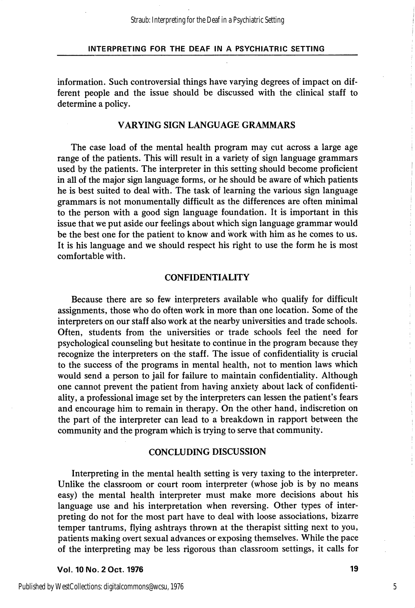information. Such controversial things have varying degrees of impact on dif ferent people and the issue should be discussed with the clinical staff to determine a policy.

### VARYING SIGN LANGUAGE GRAMMARS

The case load of the mental health program may cut across a large age range of the patients. This will result in a variety of sign language grammars used by the patients. The interpreter in this setting should become proficient in all of the major sign language forms, or he should be aware of which patients he is best suited to deal with. The task of learning the various sign language grammars is not monumentally difficult as the differences are often minimal to the person with a good sign language foundation. It is important in this issue that we put aside our feelings about which sign language grammar would be the best one for the patient to know and work with him as he comes to us. It is his language and we should respect his right to use the form he is most comfortable with.

### CONFIDENTIALITY

Because there are so few interpreters available who qualify for difficult assignments, those who do often work in more than one location. Some of the interpreters on our staff also work at the nearby universities and trade schools. Often, students from the universities or trade schools feel the need for psychological counseling but hesitate to continue in the program because they recognize the interpreters on the staff. The issue of confidentiality is crucial to the success of the programs in mental health, not to mention laws which would send a person to jail for failure to maintain confidentiality. Although one cannot prevent the patient from having anxiety about lack of confidenti ality, a professional image set by the interpreters can lessen the patient's fears and encourage him to remain in therapy. On the other hand, indiscretion on the part of the interpreter can lead to a breakdown in rapport between the community and the program which is trying to serve that community.

#### CONCLUDING DISCUSSION

Interpreting in the mental health setting is very taxing to the interpreter. Unlike the classroom or court room interpreter (whose job is by no means easy) the mental health interpreter must make more decisions about his language use and his interpretation when reversing. Other types of inter preting do not for the most part have to deal with loose associations, bizarre temper tantrums, flying ashtrays thrown at the therapist sitting next to you, patients making overt sexual advances or exposing themselves. While the pace of the interpreting may be less rigorous than classroom settings, it calls for

Vol. 10 No. 2 Oct. 1976 19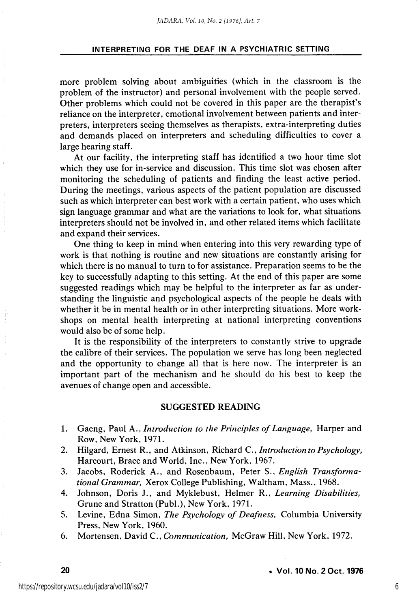more problem solving about ambiguities (which in the classroom is the problem of the instructor) and personal involvement with the people served. Other problems which could not be covered in this paper are the therapist's reliance on the interpreter, emotional involvement between patients and inter preters, interpreters seeing themselves as therapists, extra-interpreting duties and demands placed on interpreters and scheduling difficulties to cover a large hearing staff.

At our facility, the interpreting staff has identified a two hour time slot which they use for in-service and discussion. This time slot was chosen after monitoring the scheduling of patients and finding the least active period. During the meetings, various aspects of the patient population are discussed such as which interpreter can best work with a certain patient, who uses which sign language grammar and what are the variations to look for, what situations interpreters should not be involved in, and other related items which facilitate and expand their services.

One thing to keep in mind when entering into this very rewarding type of work is that nothing is routine and new situations are constantly arising for which there is no manual to turn to for assistance. Preparation seems to be the key to successfully adapting to this setting. At the end of this paper are some suggested readings which may be helpful to the interpreter as far as under standing the linguistic and psychological aspects of the people he deals with whether it be in mental health or in other interpreting situations. More workshops on mental health interpreting at national interpreting conventions would also be of some help.

It is the responsibility of the interpreters to constantly strive to upgrade the calibre of their services. The population we serve has long been neglected and the opportunity to change all that is here now. The interpreter is an important part of the mechanism and he should do his best to keep the avenues of change open and accessible.

## SUGGESTED READING

- 1. Gaeng, Paul A., *Introduction to the Principles of Language*, Harper and Row, New York, 1971.
- 2. Hilgard, Ernest R., and Atkinson, Richard C., Introduction to Psychology, Harcourt, Brace and World, Inc., New York, 1967.
- 3. Jacobs, Roderick A., and Rosenbaum, Peter S., English Transformational Grammar, Xerox College Publishing, Waltham, Mass., 1968.
- 4. Johnson, Doris J., and Myklebust, Helmer R., Learning Disabilities, Grune and Stratton (Publ.), New York, 1971.
- 5. Levine, Edna Simon, The Psychology of Deafness, Columbia University Press, New York, 1960.
- 6. Mortensen, David C., Communication, McGraw Hill, New York, 1972.